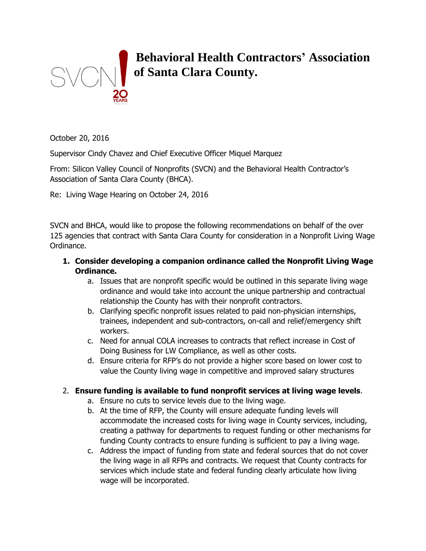

# **Behavioral Health Contractors' Association of Santa Clara County.**

October 20, 2016

Supervisor Cindy Chavez and Chief Executive Officer Miquel Marquez

From: Silicon Valley Council of Nonprofits (SVCN) and the Behavioral Health Contractor's Association of Santa Clara County (BHCA).

Re: Living Wage Hearing on October 24, 2016

SVCN and BHCA, would like to propose the following recommendations on behalf of the over 125 agencies that contract with Santa Clara County for consideration in a Nonprofit Living Wage Ordinance.

- **1. Consider developing a companion ordinance called the Nonprofit Living Wage Ordinance.**
	- a. Issues that are nonprofit specific would be outlined in this separate living wage ordinance and would take into account the unique partnership and contractual relationship the County has with their nonprofit contractors.
	- b. Clarifying specific nonprofit issues related to paid non-physician internships, trainees, independent and sub-contractors, on-call and relief/emergency shift workers.
	- c. Need for annual COLA increases to contracts that reflect increase in Cost of Doing Business for LW Compliance, as well as other costs.
	- d. Ensure criteria for RFP's do not provide a higher score based on lower cost to value the County living wage in competitive and improved salary structures

## 2. **Ensure funding is available to fund nonprofit services at living wage levels**.

- a. Ensure no cuts to service levels due to the living wage.
- b. At the time of RFP, the County will ensure adequate funding levels will accommodate the increased costs for living wage in County services, including, creating a pathway for departments to request funding or other mechanisms for funding County contracts to ensure funding is sufficient to pay a living wage.
- c. Address the impact of funding from state and federal sources that do not cover the living wage in all RFPs and contracts. We request that County contracts for services which include state and federal funding clearly articulate how living wage will be incorporated.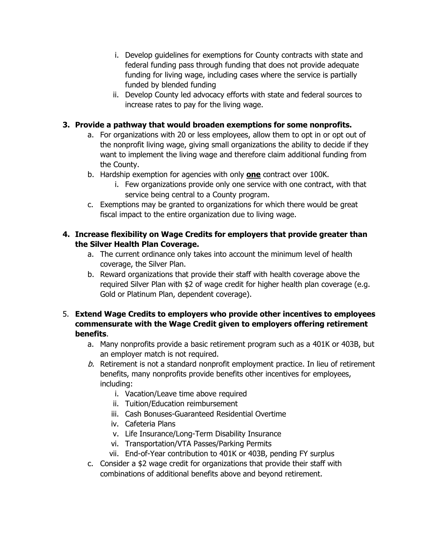- i. Develop guidelines for exemptions for County contracts with state and federal funding pass through funding that does not provide adequate funding for living wage, including cases where the service is partially funded by blended funding
- ii. Develop County led advocacy efforts with state and federal sources to increase rates to pay for the living wage.

### **3. Provide a pathway that would broaden exemptions for some nonprofits.**

- a. For organizations with 20 or less employees, allow them to opt in or opt out of the nonprofit living wage, giving small organizations the ability to decide if they want to implement the living wage and therefore claim additional funding from the County.
- b. Hardship exemption for agencies with only **one** contract over 100K.
	- i. Few organizations provide only one service with one contract, with that service being central to a County program.
- c. Exemptions may be granted to organizations for which there would be great fiscal impact to the entire organization due to living wage.

## **4. Increase flexibility on Wage Credits for employers that provide greater than the Silver Health Plan Coverage.**

- a. The current ordinance only takes into account the minimum level of health coverage, the Silver Plan.
- b. Reward organizations that provide their staff with health coverage above the required Silver Plan with \$2 of wage credit for higher health plan coverage (e.g. Gold or Platinum Plan, dependent coverage).

### 5. **Extend Wage Credits to employers who provide other incentives to employees commensurate with the Wage Credit given to employers offering retirement benefits**.

- a. Many nonprofits provide a basic retirement program such as a 401K or 403B, but an employer match is not required.
- $b.$  Retirement is not a standard nonprofit employment practice. In lieu of retirement benefits, many nonprofits provide benefits other incentives for employees, including:
	- i. Vacation/Leave time above required
	- ii. Tuition/Education reimbursement
	- iii. Cash Bonuses-Guaranteed Residential Overtime
	- iv. Cafeteria Plans
	- v. Life Insurance/Long-Term Disability Insurance
	- vi. Transportation/VTA Passes/Parking Permits
	- vii. End-of-Year contribution to 401K or 403B, pending FY surplus
- c. Consider a \$2 wage credit for organizations that provide their staff with combinations of additional benefits above and beyond retirement.